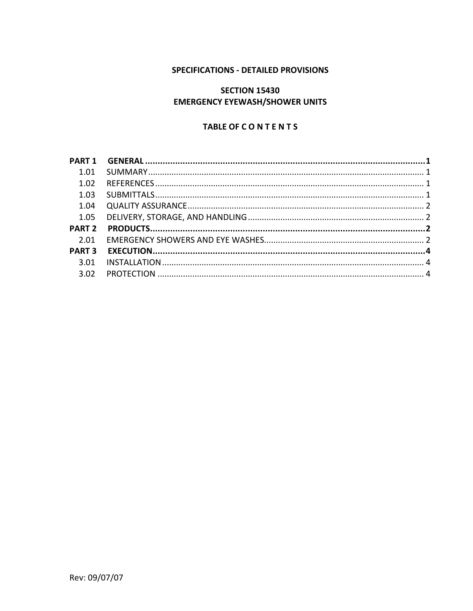## SPECIFICATIONS - DETAILED PROVISIONS

# **SECTION 15430 EMERGENCY EYEWASH/SHOWER UNITS**

## **TABLE OF CONTENTS**

| 1.01          |  |
|---------------|--|
| 1.02          |  |
| 1.03          |  |
| 1.04          |  |
|               |  |
| <b>PART 2</b> |  |
| 2.01          |  |
| <b>PART 3</b> |  |
| 3.01          |  |
| 3.02          |  |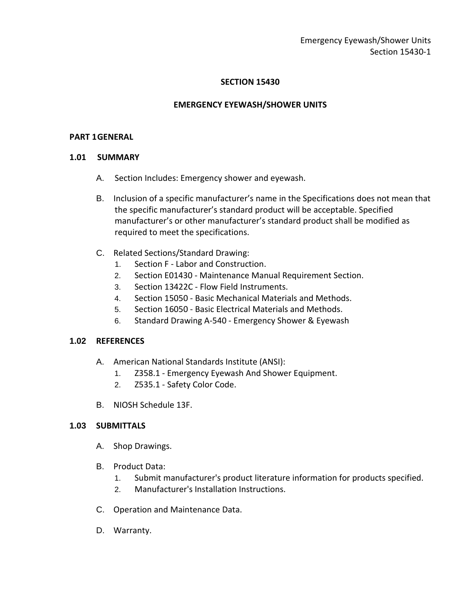# **SECTION 15430**

# **EMERGENCY EYEWASH/SHOWER UNITS**

## **PART 1GENERAL**

# **1.01 SUMMARY**

- A. Section Includes: Emergency shower and eyewash.
- B. Inclusion of a specific manufacturer's name in the Specifications does not mean that the specific manufacturer's standard product will be acceptable. Specified manufacturer's or other manufacturer's standard product shall be modified as required to meet the specifications.
- C. Related Sections/Standard Drawing:
	- 1. Section F Labor and Construction.
	- 2. Section E01430 Maintenance Manual Requirement Section.
	- 3. Section 13422C Flow Field Instruments.
	- 4. Section 15050 Basic Mechanical Materials and Methods.
	- 5. Section 16050 Basic Electrical Materials and Methods.
	- 6. Standard Drawing A-540 Emergency Shower & Eyewash

# **1.02 REFERENCES**

- A. American National Standards Institute (ANSI):
	- 1. Z358.1 Emergency Eyewash And Shower Equipment.
	- 2. Z535.1 Safety Color Code.
- B. NIOSH Schedule 13F.

# **1.03 SUBMITTALS**

- A. Shop Drawings.
- B. Product Data:
	- 1. Submit manufacturer's product literature information for products specified.
	- 2. Manufacturer's Installation Instructions.
- C. Operation and Maintenance Data.
- D. Warranty.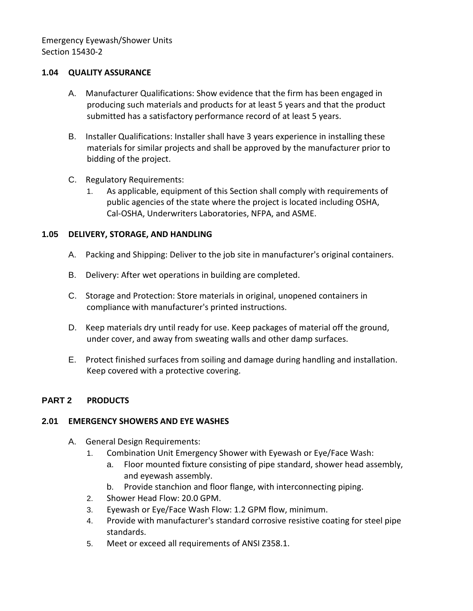#### **1.04 QUALITY ASSURANCE**

- A. Manufacturer Qualifications: Show evidence that the firm has been engaged in producing such materials and products for at least 5 years and that the product submitted has a satisfactory performance record of at least 5 years.
- B. Installer Qualifications: Installer shall have 3 years experience in installing these materials for similar projects and shall be approved by the manufacturer prior to bidding of the project.
- C. Regulatory Requirements:
	- 1. As applicable, equipment of this Section shall comply with requirements of public agencies of the state where the project is located including OSHA, Cal-OSHA, Underwriters Laboratories, NFPA, and ASME.

## **1.05 DELIVERY, STORAGE, AND HANDLING**

- A. Packing and Shipping: Deliver to the job site in manufacturer's original containers.
- B. Delivery: After wet operations in building are completed.
- C. Storage and Protection: Store materials in original, unopened containers in compliance with manufacturer's printed instructions.
- D. Keep materials dry until ready for use. Keep packages of material off the ground, under cover, and away from sweating walls and other damp surfaces.
- E. Protect finished surfaces from soiling and damage during handling and installation. Keep covered with a protective covering.

## **PART 2 PRODUCTS**

## **2.01 EMERGENCY SHOWERS AND EYE WASHES**

- A. General Design Requirements:
	- 1. Combination Unit Emergency Shower with Eyewash or Eye/Face Wash:
		- a. Floor mounted fixture consisting of pipe standard, shower head assembly, and eyewash assembly.
		- b. Provide stanchion and floor flange, with interconnecting piping.
	- 2. Shower Head Flow: 20.0 GPM.
	- 3. Eyewash or Eye/Face Wash Flow: 1.2 GPM flow, minimum.
	- 4. Provide with manufacturer's standard corrosive resistive coating for steel pipe standards.
	- 5. Meet or exceed all requirements of ANSI Z358.1.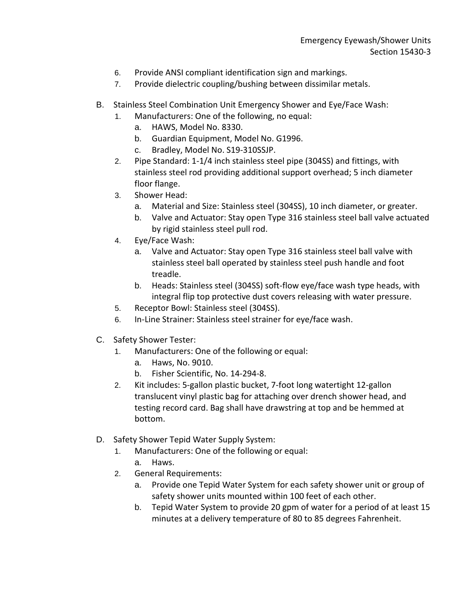- 6. Provide ANSI compliant identification sign and markings.
- 7. Provide dielectric coupling/bushing between dissimilar metals.
- B. Stainless Steel Combination Unit Emergency Shower and Eye/Face Wash:
	- 1. Manufacturers: One of the following, no equal:
		- a. HAWS, Model No. 8330.
		- b. Guardian Equipment, Model No. G1996.
		- c. Bradley, Model No. S19-310SSJP.
	- 2. Pipe Standard: 1-1/4 inch stainless steel pipe (304SS) and fittings, with stainless steel rod providing additional support overhead; 5 inch diameter floor flange.
	- 3. Shower Head:
		- a. Material and Size: Stainless steel (304SS), 10 inch diameter, or greater.
		- b. Valve and Actuator: Stay open Type 316 stainless steel ball valve actuated by rigid stainless steel pull rod.
	- 4. Eye/Face Wash:
		- a. Valve and Actuator: Stay open Type 316 stainless steel ball valve with stainless steel ball operated by stainless steel push handle and foot treadle.
		- b. Heads: Stainless steel (304SS) soft-flow eye/face wash type heads, with integral flip top protective dust covers releasing with water pressure.
	- 5. Receptor Bowl: Stainless steel (304SS).
	- 6. In-Line Strainer: Stainless steel strainer for eye/face wash.
- C. Safety Shower Tester:
	- 1. Manufacturers: One of the following or equal:
		- a. Haws, No. 9010.
		- b. Fisher Scientific, No. 14-294-8.
	- 2. Kit includes: 5-gallon plastic bucket, 7-foot long watertight 12-gallon translucent vinyl plastic bag for attaching over drench shower head, and testing record card. Bag shall have drawstring at top and be hemmed at bottom.
- D. Safety Shower Tepid Water Supply System:
	- 1. Manufacturers: One of the following or equal:
		- a. Haws.
	- 2. General Requirements:
		- a. Provide one Tepid Water System for each safety shower unit or group of safety shower units mounted within 100 feet of each other.
		- b. Tepid Water System to provide 20 gpm of water for a period of at least 15 minutes at a delivery temperature of 80 to 85 degrees Fahrenheit.